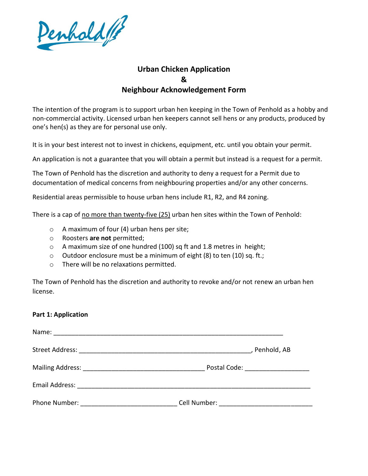

## **Urban Chicken Application & Neighbour Acknowledgement Form**

The intention of the program is to support urban hen keeping in the Town of Penhold as a hobby and non-commercial activity. Licensed urban hen keepers cannot sell hens or any products, produced by one's hen(s) as they are for personal use only.

It is in your best interest not to invest in chickens, equipment, etc. until you obtain your permit.

An application is not a guarantee that you will obtain a permit but instead is a request for a permit.

The Town of Penhold has the discretion and authority to deny a request for a Permit due to documentation of medical concerns from neighbouring properties and/or any other concerns.

Residential areas permissible to house urban hens include R1, R2, and R4 zoning.

There is a cap of no more than twenty-five (25) urban hen sites within the Town of Penhold:

- o A maximum of four (4) urban hens per site;
- o Roosters **are not** permitted;
- o A maximum size of one hundred (100) sq ft and 1.8 metres in height;
- o Outdoor enclosure must be a minimum of eight (8) to ten (10) sq. ft.;
- o There will be no relaxations permitted.

The Town of Penhold has the discretion and authority to revoke and/or not renew an urban hen license.

## **Part 1: Application**

|                                                                                                                                                                                                                                     | , Penhold, AB                      |
|-------------------------------------------------------------------------------------------------------------------------------------------------------------------------------------------------------------------------------------|------------------------------------|
|                                                                                                                                                                                                                                     | Postal Code: _____________________ |
| Email Address: 2008. 2009. 2009. 2010. 2010. 2010. 2010. 2010. 2010. 2010. 2011. 2012. 2013. 2014. 2016. 2017                                                                                                                       |                                    |
| <b>Phone Number:</b> The Manuscripture of the Manuscripture of the Manuscripture of the Manuscripture of the Manuscripture of the Manuscripture of the Manuscripture of the Manuscripture of the Manuscripture of the Manuscripture |                                    |